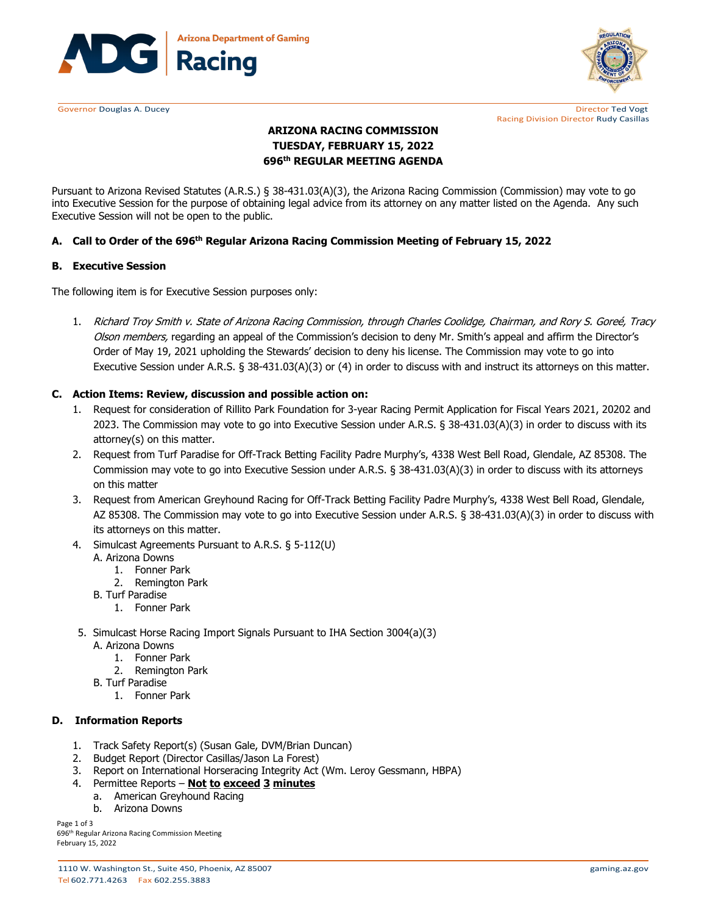



Governor Douglas A. Ducey **Director Ted Vogt Director Ted Vogt Director Ted Vogt** Racing Division Director Rudy Casillas

# **ARIZONA RACING COMMISSION TUESDAY, FEBRUARY 15, 2022 696th REGULAR MEETING AGENDA**

Pursuant to Arizona Revised Statutes (A.R.S.) § 38-431.03(A)(3), the Arizona Racing Commission (Commission) may vote to go into Executive Session for the purpose of obtaining legal advice from its attorney on any matter listed on the Agenda. Any such Executive Session will not be open to the public.

## **A. Call to Order of the 696th Regular Arizona Racing Commission Meeting of February 15, 2022**

#### **B. Executive Session**

The following item is for Executive Session purposes only:

1. Richard Troy Smith v. State of Arizona Racing Commission, through Charles Coolidge, Chairman, and Rory S. Goreé, Tracy Olson members, regarding an appeal of the Commission's decision to deny Mr. Smith's appeal and affirm the Director's Order of May 19, 2021 upholding the Stewards' decision to deny his license. The Commission may vote to go into Executive Session under A.R.S. § 38-431.03(A)(3) or (4) in order to discuss with and instruct its attorneys on this matter.

## **C. Action Items: Review, discussion and possible action on:**

- 1. Request for consideration of Rillito Park Foundation for 3-year Racing Permit Application for Fiscal Years 2021, 20202 and 2023. The Commission may vote to go into Executive Session under A.R.S. § 38-431.03(A)(3) in order to discuss with its attorney(s) on this matter.
- 2. Request from Turf Paradise for Off-Track Betting Facility Padre Murphy's, 4338 West Bell Road, Glendale, AZ 85308. The Commission may vote to go into Executive Session under A.R.S. § 38-431.03(A)(3) in order to discuss with its attorneys on this matter
- 3. Request from American Greyhound Racing for Off-Track Betting Facility Padre Murphy's, 4338 West Bell Road, Glendale, AZ 85308. The Commission may vote to go into Executive Session under A.R.S. § 38-431.03(A)(3) in order to discuss with its attorneys on this matter.
- 4. Simulcast Agreements Pursuant to A.R.S. § 5-112(U)
	- A. Arizona Downs
		- 1. Fonner Park
		- 2. Remington Park
	- B. Turf Paradise
		- 1. Fonner Park
	- 5. Simulcast Horse Racing Import Signals Pursuant to IHA Section 3004(a)(3)
		- A. Arizona Downs
			- 1. Fonner Park
			- 2. Remington Park
		- B. Turf Paradise
			- 1. Fonner Park

## **D. Information Reports**

- 1. Track Safety Report(s) (Susan Gale, DVM/Brian Duncan)
- 2. Budget Report (Director Casillas/Jason La Forest)
- 3. Report on International Horseracing Integrity Act (Wm. Leroy Gessmann, HBPA)
- 4. Permittee Reports **Not to exceed 3 minutes**
	- a. American Greyhound Racing
	- b. Arizona Downs

Page 1 of 3 696th Regular Arizona Racing Commission Meeting February 15, 2022